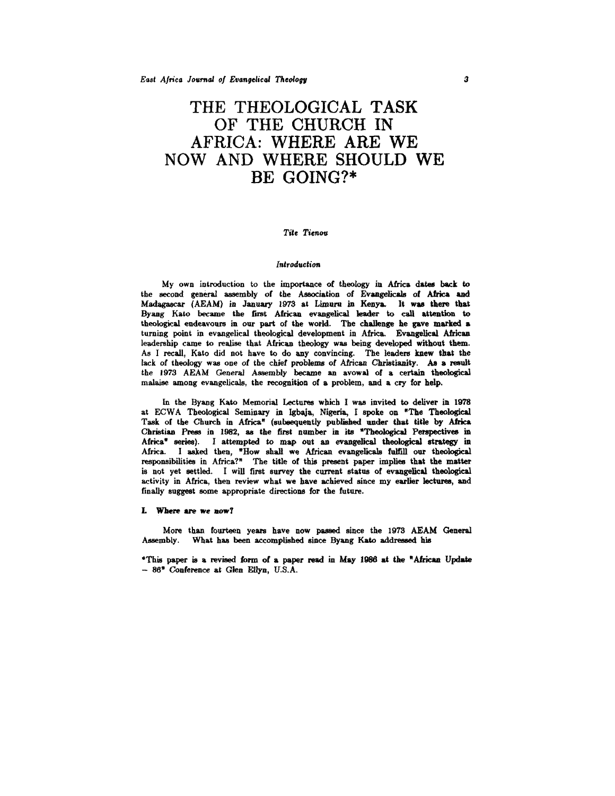# THE THEOLOGICAL TASK OF THE CHURCH IN AFRICA: WHERE ARE WE NOW AND WHERE SHOULD WE BE GOING?\*

## *Tite* Tienou

#### *Introduction*

 $My$  own introduction to the importance of theology in Africa dates back to the second general assembly of the Association of Evangelicals of Africa and Madagascar (AEAM) in January 1973 at Limuru in Kenya. It was there that Byang Kato became the first African evangelical leader to call attention to theological endeavours in our part of the world. The challenge he gave marked a turning point in evangelical theological development in Africa. Evangelical African leadership came to realise that African theology was being developed without them. As I recall, Kato did not have to do any convincing. The leaders knew that the lack of theology was one of the chief problems of African Christianity. As a result the 1973 AEAM General Assembly became an avowal of a certain theological malaise among evangelicals, the recognition of a problem, and a cry for help.

In the Byang Kato Memorial Lectures which I was invited to deliver in 1978 at ECW A Theological Seminary in lgbaja, Nigeria, I spoke on "The Theological Task of the Church in Africa" (subsequently published under that title by Africa Christian Press in 1982, as the first number in its "Theological Perspectives in Africa" series). I attempted to map out an evangelical theologieal strategy in Africa. I asked then, "How shall we African evangelicals fulfill our theological responsibilities in Africa?" The title of this present paper implies that the matter is not yet settled. I will first survey the current status of evangelical theological activity in Africa, then review what we have achieved since my earlier lectures, and finally suggest some appropriate directions for the future.

## L Where are we aow7

More than fourteen years have now passed since the 1973 AEAM General Assembly. What has been accomplished since Byang Kato addressed his

•This paper is a revised form of a paper read in May 1986 at the "African Update - 86• Conference at Glen Ellyn, U.S.A.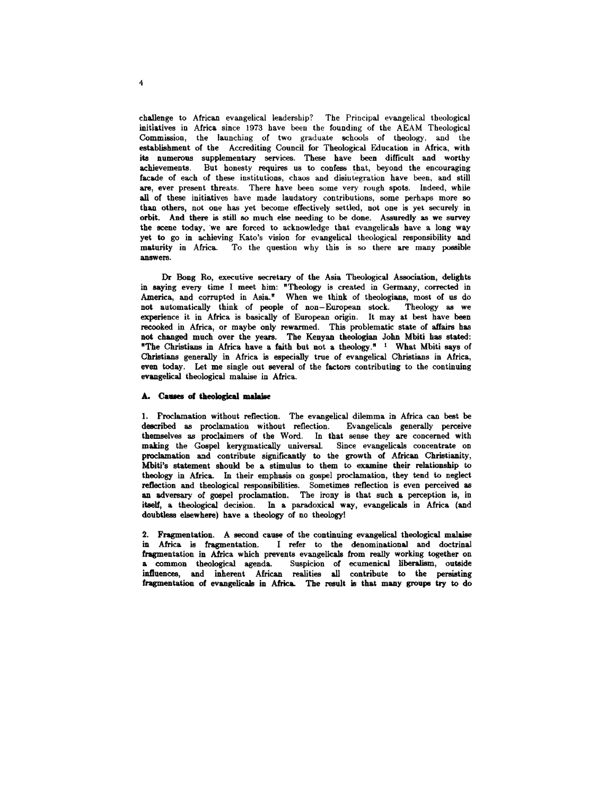challenge to African evangelical leadership? The Principal evangelical theological initiatives in Africa since 1973 have been the founding of the AEAM Theological Commission, the launching of two graduate schools of theology, and the establishment of the Accrediting Council for Theological Education in Africa, with its numerous supplementary services. These have been difficult and worthy achievements. But honesty requires us to confess that, beyond the encouraging facade of each of these institutions, chaos and disintegration have been, and still are, ever present threats. There have been some very rough spots. Indeed, while all of these initiatives have made laudatory contributions, some perhaps more so than others, not one has yet become effectively settled, not one is yet securely in orbit. And there is still so much else needing to be done. Assuredly as we survey the scene today, we are forced to acknowledge that evangelicals have a long way yet to go in achieving Kato's vision for evangelical theological responsibility and maturity in Africa. To the question why this is so there are many possible answers.

Dr Bong Ro, executive secretary of the Asia Theological Association, delights in saying every time I meet him: "Theology is created in Germany, corrected in America, and corrupted in Asia." When we think of theologians, most of us do not automatically think of people of non-European stock. Theology as we experience it in Africa is basically of European origin. It may at best have been recooked in Africa, or maybe only rewarmed. This problematic state of affairs has not changed much over the years. The Kenyan theologian John Mbiti has stated: "The Christians in Africa have a faith but not a theology."  $1$  What Mbiti says of Christians generally in Africa is especially true of evangelical Christians in Africa, even today. Let me single out several of the factors contributing to the continuing evangelical theological malaise in Africa.

## A. Causes of theological malaise

1. Proclamation without reflection. The evangelical dilemma in Africa can best be described as proclamation without reflection. Evangelicals generally perceive themselves as proclaimers of the Word. In that sense they are concerned with making the Gospel kerygmatically universal. Since evangelicals concentrate on proclamation and contribute significantly to the growth of African Christianity, Mbiti's statement should be a stimulus to them to examine their relationship to theology in Africa. In their emphasis on gospel proclamation, they tend to neglect reflection and theological responsibilities. Sometimes reflection is even perceived as an adversary of gospel proclamation. The irony is that such a perception is, in itself, a theological decision. In a paradoxical way, evangelicals in Africa (and doubtless elsewhere) have a theology of no theology!

2. Fragmentation. A second cause of the continuing evangelical theological malaise in Africa is fragmentation. I refer to the denominational and doctrinal fragmentation in Africa which prevents evangelicals from really working together on a common theological agenda. Suspicion of ecumenical liberalism, outside influences, and inherent African realities all contribute to the persisting fragmentation of evangelicals in Africa. The result is that many groups try to do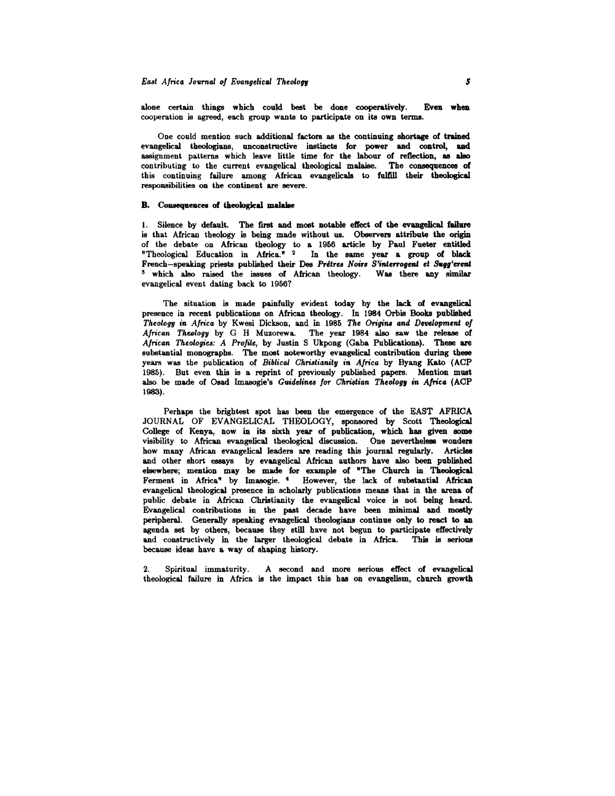alone certain things which could best be done cooperatively. Even when cooperation is agreed, each group wants to participate on its own terms.

One could mention such additional factors as the continuing shortage of trained evangelical theologians, unconstructive instincts for power and control, and assignment patterns which leave little time for the labour of reflection, as also contributing to the current evangelical theological malaise. The consequences of this continuing failure among African evangelicals to fulfill their theological responsibilities on the continent are severe.

## B. Consequences of theological malaise

1. Silence by default. The first and moet notable effect of the evangelical failure is that African theology is being made without us. Observers attribute the origin of the debate on African theology to a 1956 article by Paul Fueter entitled "Theological Education in Africa." 2 In the same year a group of black French-speaking priests published their Des Prêtres Noirs S'interrogent et Sugg'erent s which also raised the issues of African theology. Was there any similar evangelical event dating back to 1956?

The situation is made painfully evident today by the lack of evangelical presence in recent publications on African theology. In 1984 Orbis Books published *Theology* in *Africa* by Kwesi Dickson, and in 1985 *The Origins and Dwelopment of*  African Theology by G H Muzorewa. The year 1984 also saw the release of *African Theologies: A Profile,* by Justin S Ukpong (Gaba Publications). Theee are substantial monographs. The most noteworthy evangelical contribution during theee years was the publication of *Biblical Christianitg* in *Africa* by Byang Kato (ACP 1985). But even this is a reprint of previously published papers. Mention must also be made of Osad Imasogie's *Guidelinea for Christian Theologr in Africa* (ACP 1983).

Perhaps the brightest spot has been the emergence of the EAST AFRICA JOURNAL OF EVANGELICAL THEOLOGY, sponsored by Scott Theological College of Kenya, now in its sixth year of publication, which has given some visibility to African evangelical theological discussion. One nevertheless wonders how many African evangelical leaders are reading this journal regularly. Articles and other short essays by evangelical African authors have also been published elsewhere; mention may be made for example of "The Church in Theological Ferment in Africa" by Imasogie. <sup>4</sup> However, the lack of substantial African evangelical theological presence in scholarly publications means that in the arena of public debate in African Christianity the evangelical voice is not being heard. Evangelical contributions in the past decade have been minimal and mostly peripheral. Generally speaking evangelical theologians continue only to react to an agenda set by others, because they still have not begun to participate effectively and constructively in the larger theological debate in Africa. This is serious because ideas have a way of shaping history.

2. Spiritual immaturity. A second and more serious effect of evangelical theological failure in Africa is the impact this has on evangelism, church growth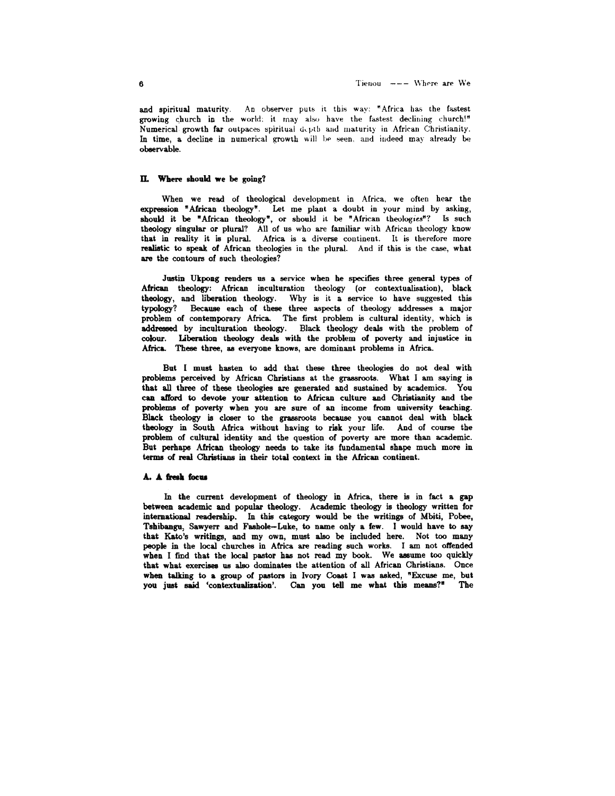and spiritual maturity. An observer puts it this way: "Africa has the fastest growing church in the world: it may also have the fastest declining church!" Numerical growth far outpaces spiritual depth aud maturity in African Christianity. In time, a decline in numerical growth will be seen, and indeed may already be obeervable.

#### U. Where should we be going?

When we read of theological development in Africa, we often hear the expression "African theology". Let me plant a doubt in your mind by asking, should it be "African theology", or should it be "African theologies"? Is such theology singular or plural? All of us who are familiar with African theology know that in reality it is plural. Africa is a diverse continent. It is therefore more realistic to speak of African theologies in the plural. And if this is the case, what are the contours of such theologies?

Justin Ukpong renders us a service when he specifies three general types of African theology: African inculturation theology (or contextualisation), black theology, and liberation theology. Why is it a service to have suggested this typology? Because each of these three aspects of theology addresses a major problem of contemporary Africa. The first problem is cultural identity, which is addressed by inculturation theology. Black theology deals with the problem of colour. Liberation theology deals with the problem of poverty and injustice in Africa. These three, as everyone knows, are dominant problems in Africa.

But I must hasten to add that these three theologies do not deal with problems perceived by African Christians at the grassroots. What I am saying is that all three of these theologies are generated and sustained by academics. You can afford to devote your attention to African culture and Christianity and the problems of poverty when you are sure of an income from university teaching. Black theology is closer to the grassroots because you cannot deal with black theology in South Africa without having to risk your life. And of course the problem of cultural identity and the question of poverty are more than academic. But perhaps African theology needs to take its fundamental shape much more in terms of real Christians in their total context in the African continent.

#### A. A fresh focus

In the current development of theology in Africa, there is in fact a gap between academic and popular theology. Academic theology is theology written for international readership. In this category would be the writings of Mbiti, Pobee, Tshibangu, Sawyerr and Fashole-Luke, to name only a few. I would have to say that Kato's writings, and my own, must also be included here. Not too many people in the local churches in Africa are reading such works. I am not offended when I find that the local pastor has not read my book. We assume too quickly that what exercises us also dominates the attention of all African Christians. Once when talking to a group of pastors in Ivory Coast I was asked, "Excuse me, but you just said 'contextualization'. Can you tell me what this means?" The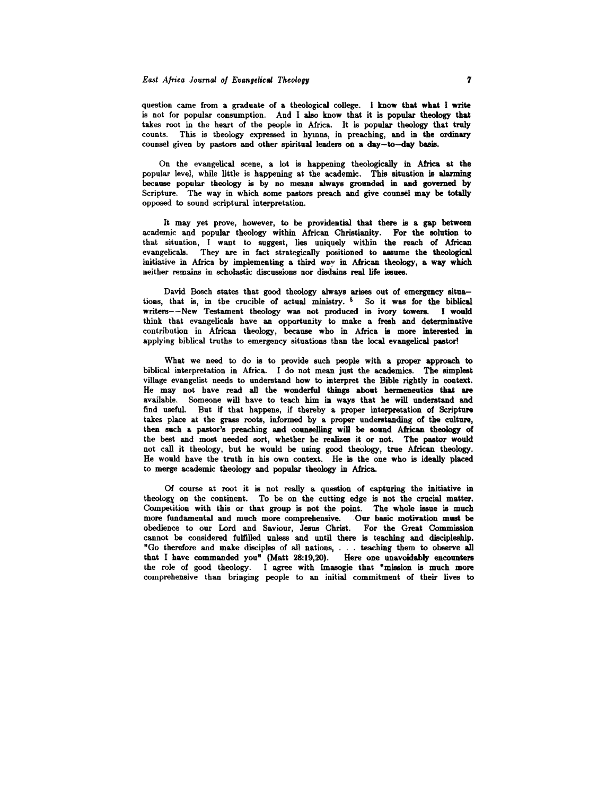question came from a graduate of a theological college. I know that what I write is not for popular consumption. And I also know that it is popular theology that takes root in the heart of the people in Africa. It is popular theology that truly counts. This is theology expressed in hymns, in preaching, and in the ordinary counsel given by pastors and other spiritual leaders on a day-to-day basis.

On the evangelical scene, a lot is happening theologically in Africa at the popular level, while little is happening at the academic. This situation is alarming because popular theology is by no means always grounded in and governed by Scripture. The way in which some pastors preach and give counsel may be totally opposed to sound scriptural interpretation.

It may yet prove, however, to be providential that there is a gap between academic and popular theology within African Christianity. For the solution to that situation, I want to suggest, lies uniquely within the reach of African evangelicals. They are in fact strategically positioned to assume the theological initiative in Africa by implementing a third way in African theology, a way which neither remains in scholastic discussions nor disdains real life issues.

David Bosch states that good theology always arises out of emergency situations, that is, in the crucible of actual ministry.  $6$  So it was for the biblical writers--New Testament theology was not produced in ivory towers. I would think that evangelicals have an opportunity to make a fresh and determinative contribution in African theology, because who in Africa is more interested in applying biblical truths to emergency situations than the local evangelical pastor!

What we need to do is to provide such people with a proper approach to biblical interpretation in Africa. I do not mean just the academics. The simplest village evangelist needs to understand how to interpret the Bible rightly in context. He may not have read all the wonderful things about hermeneutics that are available. Someone will have to teach him in ways that he will understand and find useful. But if that happens, if thereby a proper interpretation of Scripture takes place at the grass roots, informed by a proper understanding of the culture, then such a pastor's preaching and counselling will be sound African theology of the best and most needed sort, whether he realizes it or not. The pastor would not call it theology, but he would be using good theology, true African theology. He would have the truth in his own context. He is the one who is ideally placed to merge academic theology and popular theology in Africa.

Of course at root it is not really a question of capturing the initiative in theologx on the continent. To be on the cutting edge is not the crucial matter. Competition with this or that group is not the point. The whole issue is much more fundamental and much more comprehensive. Our basic motivation must be obedience to our Lord and Saviour, Jesus Christ. For the Great Commission cannot be considered fulfilled unless and until there is teaching and discipleship. "Go therefore and make disciples of all nations, . . . teaching them to observe all hat I have commanded  $vou''$  (Matt 28:19.20). Here one unavoidably encounters the role of good theology. I agree with lmasogie that "mission is much more comprehensive than bringing people to an initial commitment of their lives to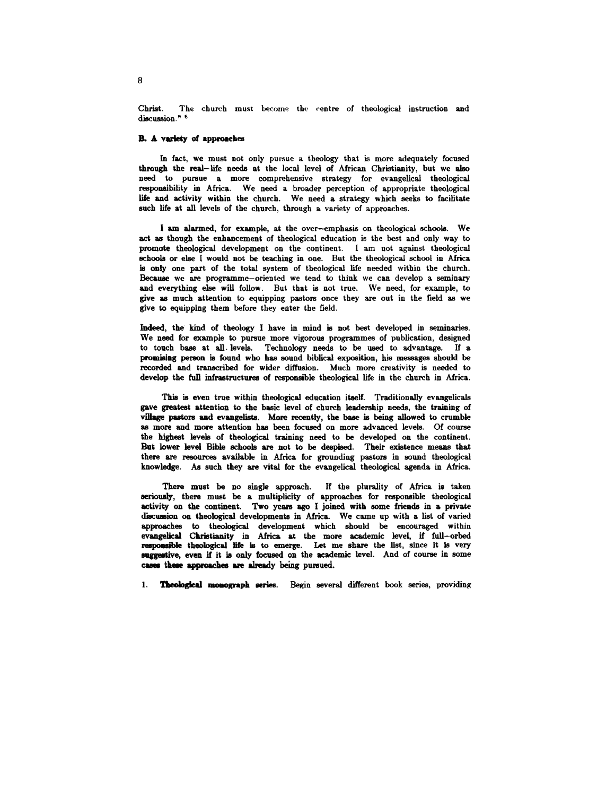Christ. The church must become the centre of theological instruction and discussion.<sup>n 6</sup>

## B. A variety of approaches

In fact, we must not only pursue a theology that is more adequately focused through the real- life needs at the local level of African Christianity, but we also need to pursue a more comprehensive strategy for evangelical theological responaibility in Africa. We need a broader perception of appropriate theological life and activity within the church. We need a strategy which seeks to facilitate such life at all levels of the church, through a variety of approaches.

I am alarmed, for example, at the over-emphasis on theological schools. We act as though the enhancement of theological education is the best and only way to promote theological development on the continent. I am not against theological schools or else I would not be teaching in one. But the theological school in Africa is only one part of the total system of theological life needed within the church. Because we are programme-oriented we tend to think we can develop a seminary and everything else will follow. But that is not true. We need, for example, to give as much attention to equipping pastors once they are out in the field as we give to equipping them before they enter the field.

Indeed, the kind of theology I have in mind is not best developed in seminaries. We need for example to pursue more vigorous programmes of publication, designed to touch base at all . levels. Technology needs to be used to advantage. If a promising person is found who has sound biblical exposition, his messages should be recorded and tranacribed for wider diffusion. Much more creativity is needed to develop the full infrastructures of responsible theological life in the church in Africa.

This is even true within theological education itself. Traditionally evangelicals gave greatest attention to the basic level of church leadership needs, the training of village pastors and evangelists. More recently, the base is being allowed to crumble as more and more attention has been focused on more advanced levels. Of course the highest levels of theological training need to be developed on the continent. But lower level Bible schools are not to be despised. Their existence meana that there are resources available in Africa for grounding pastors in sound theological knowledge. *AB* such they are vital for the evangelical theological agenda in Africa.

There must be no single approach. If the plurality of Africa is taken eeriously, there must be a multiplicity of approaches for responsible theological activity on the continent. Two years ago I joined with some friends in a private diecussion on theological developments in Africa. We came up with a list of varied approaches to theological development which should be encouraged within evangelical Christianity in Africa at the more academic level, if full-orbed responsible theological life is to emerge. Let me share the list, since it is very suggestive, even if it is only focused on the academic level. And of course in some cases these approaches are already being pursued.

**Theological monograph series.** Begin several different book series, providing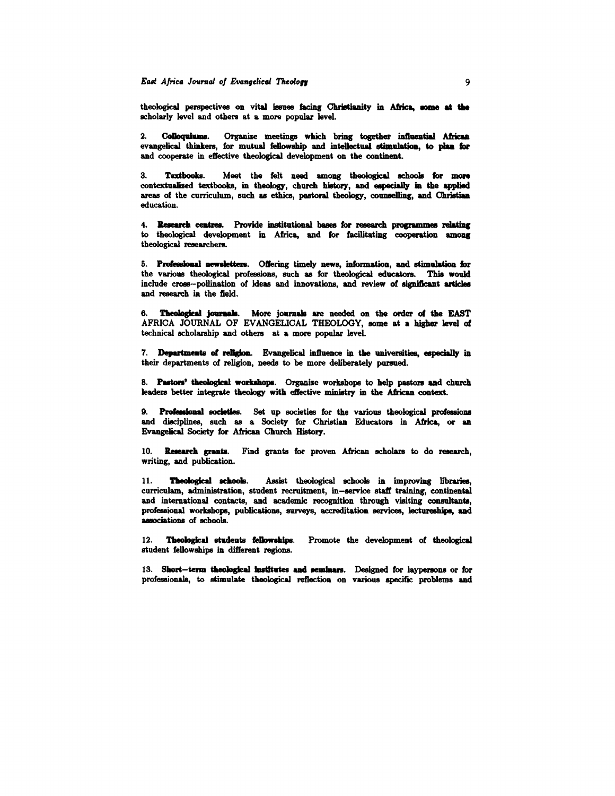theological perspectives on vital issues facing Christianity in Africa, some at the scholarly level and others at a more popular level.

2. Colloquiums. Organize meetings which bring together influential African evangelical thinkers, for mutual fellowship and intellectual stimulation, &o plan for and cooperate in effective theological development on the continent.

3. Textbooks. Meet the felt need among theological schools for more contextualized textbooks, in theology, church history, and especially in the applied areas of the curriculum, such as ethics, pastoral theology, counselling, and Christian education.

4. Research ceatres. Provide institutional bases for research programmes relating to theological development in Africa, and for facilitating cooperation among theological researchers.

5. Professional newsletters. Offering timely news, information, and stimulation for the various theological professions, such as for theological educators. This would include croes-pollination of ideas and innovations, and review of significant ariidee and research in the field.

6. Theological journals. More journals are needed on the order of the EAST AFRICA JOURNAL OF EVANGELICAL THEOLOGY, BOme at a higher level of technical scholarship and others at a more popular leveL

7. Departments of religion. Evangelical influence in the universities, especially in their departments of religion, needs to be more deliberately pursued.

8. Pastors' theological workshops. Organize workshops to help pastors and church leaders better integrate theology with effective ministry in the African context.

9. Professional societies. Set up societies for the various theological professions and disciplines, such as a Society for Christian Educators in Africa, or an Evangelical Society for African Church History.

10. Research grants. Find grants for proven African scholars to do research, writing, and publication.

11. Theological schools. Assist theological schools in improving libraries, curriculam, administration, student recruitment, in-service staff training, continental and international contacts, and academic recognition through visiting consultants, professional workshops, publications, surveys, accreditation services, lectureships, and associations of schools.

12. Theological students fellowships. Promote the development of theological student fellowships in different regions.

13. Short-term theological institutes and seminars. Designed for laypersons or for professionals, to stimulate theological reflection on various specific problems and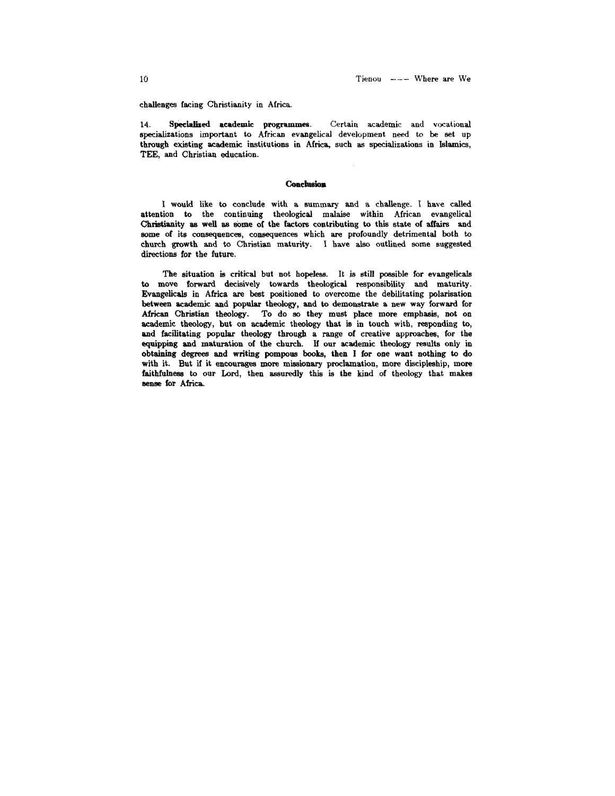challenges facing Christianity in Africa.

14. Specialized academic programmes. Certain academic and vocational specializations important to African evangelical development need to be set up through existing academic institutions in Africa, such as specializations in Islamics, TEE, and Christian education.

## **Conclusion**

I would like to conclude with a summary and a challenge. I have called attention to the continuing theological malaise within African evangelical Christianity as well as some of the factors contributing to this state of affairs and some of its consequences, consequences which are profoundly detrimental both to church growth and to Christian maturity. I have also outlined some suggested directions for the future.

The situation is critical but not hopeless. It is still possible for evangelicals to move forward decisively towards theological responsibility and maturity. Evangelicals in Africa are best positioned to overcome the debilitating polarisation between academic and popular theology, and to demonstrate a new way forward for African Christian theology. To do so they must place more emphasis, not on academic theology, but on academic theology that is in touch with, responding to, and facilitating popular theology through a range of creative approaches, for the equipping and maturation of the church. If our academic theology results only in obtaining degrees and writing pompous books, then I for one want nothing to do with it. But if it encourages more missionary proclamation, more discipleship, more faithfulness to our Lord, then assuredly this is the kind of theology that makes sense for Africa.